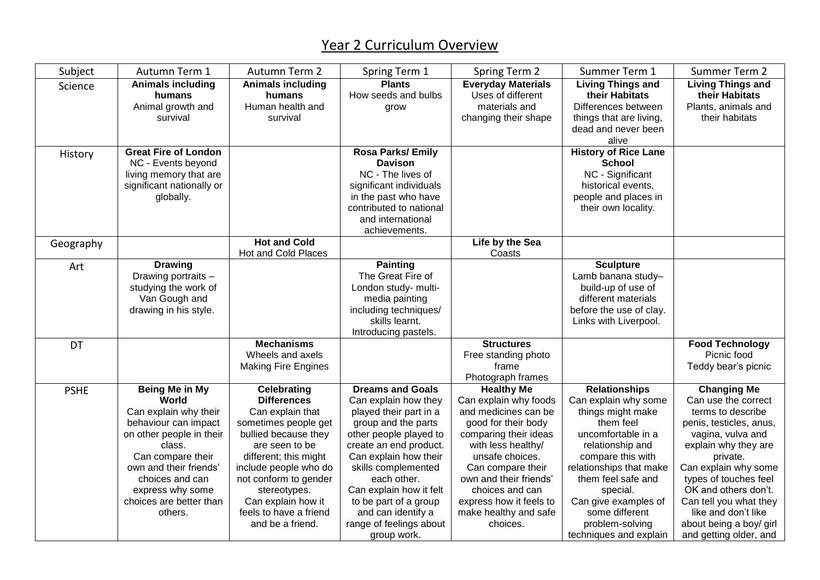## Year 2 Curriculum Overview

| Subject     | Autumn Term 1                                                                                                                                                                                                                                     | Autumn Term 2                                                                                                                                                                                                                                                                                 | Spring Term 1                                                                                                                                                                                                                                                                                                                           | Spring Term 2                                                                                                                                                                                                                                                                                 | Summer Term 1                                                                                                                                                                                                                                                                                     | Summer Term 2                                                                                                                                                                                                                                                                                                                     |
|-------------|---------------------------------------------------------------------------------------------------------------------------------------------------------------------------------------------------------------------------------------------------|-----------------------------------------------------------------------------------------------------------------------------------------------------------------------------------------------------------------------------------------------------------------------------------------------|-----------------------------------------------------------------------------------------------------------------------------------------------------------------------------------------------------------------------------------------------------------------------------------------------------------------------------------------|-----------------------------------------------------------------------------------------------------------------------------------------------------------------------------------------------------------------------------------------------------------------------------------------------|---------------------------------------------------------------------------------------------------------------------------------------------------------------------------------------------------------------------------------------------------------------------------------------------------|-----------------------------------------------------------------------------------------------------------------------------------------------------------------------------------------------------------------------------------------------------------------------------------------------------------------------------------|
| Science     | <b>Animals including</b><br>humans<br>Animal growth and<br>survival                                                                                                                                                                               | <b>Animals including</b><br>humans<br>Human health and<br>survival                                                                                                                                                                                                                            | <b>Plants</b><br>How seeds and bulbs<br>grow                                                                                                                                                                                                                                                                                            | <b>Everyday Materials</b><br>Uses of different<br>materials and<br>changing their shape                                                                                                                                                                                                       | <b>Living Things and</b><br>their Habitats<br>Differences between<br>things that are living,<br>dead and never been<br>alive                                                                                                                                                                      | <b>Living Things and</b><br>their Habitats<br>Plants, animals and<br>their habitats                                                                                                                                                                                                                                               |
| History     | <b>Great Fire of London</b><br>NC - Events beyond<br>living memory that are<br>significant nationally or<br>globally.                                                                                                                             |                                                                                                                                                                                                                                                                                               | Rosa Parks/ Emily<br><b>Davison</b><br>NC - The lives of<br>significant individuals<br>in the past who have<br>contributed to national<br>and international<br>achievements.                                                                                                                                                            |                                                                                                                                                                                                                                                                                               | <b>History of Rice Lane</b><br><b>School</b><br>NC - Significant<br>historical events,<br>people and places in<br>their own locality.                                                                                                                                                             |                                                                                                                                                                                                                                                                                                                                   |
| Geography   |                                                                                                                                                                                                                                                   | <b>Hot and Cold</b>                                                                                                                                                                                                                                                                           |                                                                                                                                                                                                                                                                                                                                         | Life by the Sea                                                                                                                                                                                                                                                                               |                                                                                                                                                                                                                                                                                                   |                                                                                                                                                                                                                                                                                                                                   |
|             |                                                                                                                                                                                                                                                   | Hot and Cold Places                                                                                                                                                                                                                                                                           |                                                                                                                                                                                                                                                                                                                                         | Coasts                                                                                                                                                                                                                                                                                        |                                                                                                                                                                                                                                                                                                   |                                                                                                                                                                                                                                                                                                                                   |
| Art         | <b>Drawing</b><br>Drawing portraits -<br>studying the work of<br>Van Gough and<br>drawing in his style.                                                                                                                                           |                                                                                                                                                                                                                                                                                               | <b>Painting</b><br>The Great Fire of<br>London study- multi-<br>media painting<br>including techniques/<br>skills learnt.<br>Introducing pastels.                                                                                                                                                                                       |                                                                                                                                                                                                                                                                                               | <b>Sculpture</b><br>Lamb banana study-<br>build-up of use of<br>different materials<br>before the use of clay.<br>Links with Liverpool.                                                                                                                                                           |                                                                                                                                                                                                                                                                                                                                   |
| DT          |                                                                                                                                                                                                                                                   | <b>Mechanisms</b><br>Wheels and axels<br><b>Making Fire Engines</b>                                                                                                                                                                                                                           |                                                                                                                                                                                                                                                                                                                                         | <b>Structures</b><br>Free standing photo<br>frame<br>Photograph frames                                                                                                                                                                                                                        |                                                                                                                                                                                                                                                                                                   | <b>Food Technology</b><br>Picnic food<br>Teddy bear's picnic                                                                                                                                                                                                                                                                      |
| <b>PSHE</b> | <b>Being Me in My</b><br>World<br>Can explain why their<br>behaviour can impact<br>on other people in their<br>class.<br>Can compare their<br>own and their friends'<br>choices and can<br>express why some<br>choices are better than<br>others. | <b>Celebrating</b><br><b>Differences</b><br>Can explain that<br>sometimes people get<br>bullied because they<br>are seen to be<br>different; this might<br>include people who do<br>not conform to gender<br>stereotypes.<br>Can explain how it<br>feels to have a friend<br>and be a friend. | <b>Dreams and Goals</b><br>Can explain how they<br>played their part in a<br>group and the parts<br>other people played to<br>create an end product.<br>Can explain how their<br>skills complemented<br>each other.<br>Can explain how it felt<br>to be part of a group<br>and can identify a<br>range of feelings about<br>group work. | <b>Healthy Me</b><br>Can explain why foods<br>and medicines can be<br>good for their body<br>comparing their ideas<br>with less healthy/<br>unsafe choices.<br>Can compare their<br>own and their friends'<br>choices and can<br>express how it feels to<br>make healthy and safe<br>choices. | <b>Relationships</b><br>Can explain why some<br>things might make<br>them feel<br>uncomfortable in a<br>relationship and<br>compare this with<br>relationships that make<br>them feel safe and<br>special.<br>Can give examples of<br>some different<br>problem-solving<br>techniques and explain | <b>Changing Me</b><br>Can use the correct<br>terms to describe<br>penis, testicles, anus,<br>vagina, vulva and<br>explain why they are<br>private.<br>Can explain why some<br>types of touches feel<br>OK and others don't.<br>Can tell you what they<br>like and don't like<br>about being a boy/ girl<br>and getting older, and |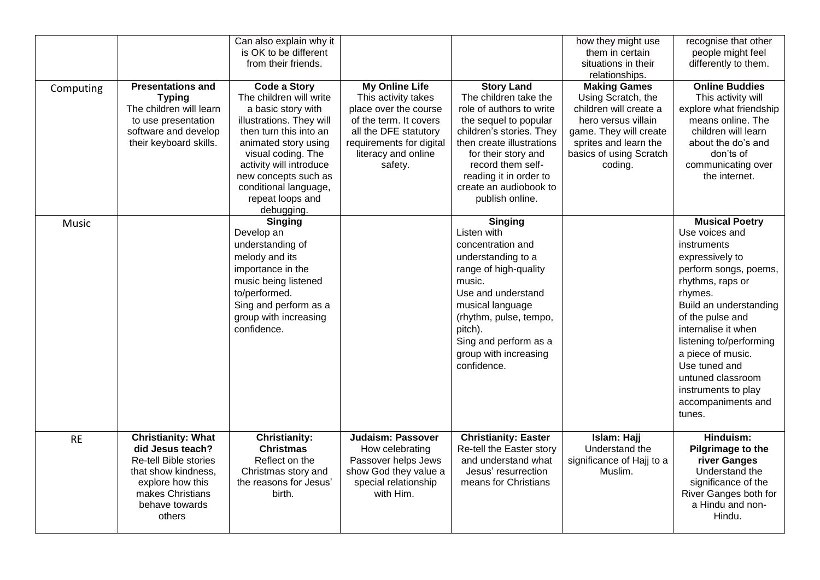|              |                                                                                                                                                                          | Can also explain why it<br>is OK to be different<br>from their friends.                                                                                                                                                                                                                |                                                                                                                                                                                        |                                                                                                                                                                                                                                                                             | how they might use<br>them in certain<br>situations in their<br>relationships.                                                                                                      | recognise that other<br>people might feel<br>differently to them.                                                                                                                                                                                                                                                                                   |
|--------------|--------------------------------------------------------------------------------------------------------------------------------------------------------------------------|----------------------------------------------------------------------------------------------------------------------------------------------------------------------------------------------------------------------------------------------------------------------------------------|----------------------------------------------------------------------------------------------------------------------------------------------------------------------------------------|-----------------------------------------------------------------------------------------------------------------------------------------------------------------------------------------------------------------------------------------------------------------------------|-------------------------------------------------------------------------------------------------------------------------------------------------------------------------------------|-----------------------------------------------------------------------------------------------------------------------------------------------------------------------------------------------------------------------------------------------------------------------------------------------------------------------------------------------------|
| Computing    | <b>Presentations and</b><br><b>Typing</b><br>The children will learn<br>to use presentation<br>software and develop<br>their keyboard skills.                            | <b>Code a Story</b><br>The children will write<br>a basic story with<br>illustrations. They will<br>then turn this into an<br>animated story using<br>visual coding. The<br>activity will introduce<br>new concepts such as<br>conditional language,<br>repeat loops and<br>debugging. | <b>My Online Life</b><br>This activity takes<br>place over the course<br>of the term. It covers<br>all the DFE statutory<br>requirements for digital<br>literacy and online<br>safety. | <b>Story Land</b><br>The children take the<br>role of authors to write<br>the sequel to popular<br>children's stories. They<br>then create illustrations<br>for their story and<br>record them self-<br>reading it in order to<br>create an audiobook to<br>publish online. | <b>Making Games</b><br>Using Scratch, the<br>children will create a<br>hero versus villain<br>game. They will create<br>sprites and learn the<br>basics of using Scratch<br>coding. | <b>Online Buddies</b><br>This activity will<br>explore what friendship<br>means online. The<br>children will learn<br>about the do's and<br>don'ts of<br>communicating over<br>the internet.                                                                                                                                                        |
| <b>Music</b> |                                                                                                                                                                          | <b>Singing</b><br>Develop an<br>understanding of<br>melody and its<br>importance in the<br>music being listened<br>to/performed.<br>Sing and perform as a<br>group with increasing<br>confidence.                                                                                      |                                                                                                                                                                                        | <b>Singing</b><br>Listen with<br>concentration and<br>understanding to a<br>range of high-quality<br>music.<br>Use and understand<br>musical language<br>(rhythm, pulse, tempo,<br>pitch).<br>Sing and perform as a<br>group with increasing<br>confidence.                 |                                                                                                                                                                                     | <b>Musical Poetry</b><br>Use voices and<br>instruments<br>expressively to<br>perform songs, poems,<br>rhythms, raps or<br>rhymes.<br>Build an understanding<br>of the pulse and<br>internalise it when<br>listening to/performing<br>a piece of music.<br>Use tuned and<br>untuned classroom<br>instruments to play<br>accompaniments and<br>tunes. |
| <b>RE</b>    | <b>Christianity: What</b><br>did Jesus teach?<br><b>Re-tell Bible stories</b><br>that show kindness,<br>explore how this<br>makes Christians<br>behave towards<br>others | <b>Christianity:</b><br><b>Christmas</b><br>Reflect on the<br>Christmas story and<br>the reasons for Jesus'<br>birth.                                                                                                                                                                  | <b>Judaism: Passover</b><br>How celebrating<br>Passover helps Jews<br>show God they value a<br>special relationship<br>with Him.                                                       | <b>Christianity: Easter</b><br>Re-tell the Easter story<br>and understand what<br>Jesus' resurrection<br>means for Christians                                                                                                                                               | Islam: Hajj<br>Understand the<br>significance of Hajj to a<br>Muslim.                                                                                                               | Hinduism:<br><b>Pilgrimage to the</b><br>river Ganges<br>Understand the<br>significance of the<br>River Ganges both for<br>a Hindu and non-<br>Hindu.                                                                                                                                                                                               |